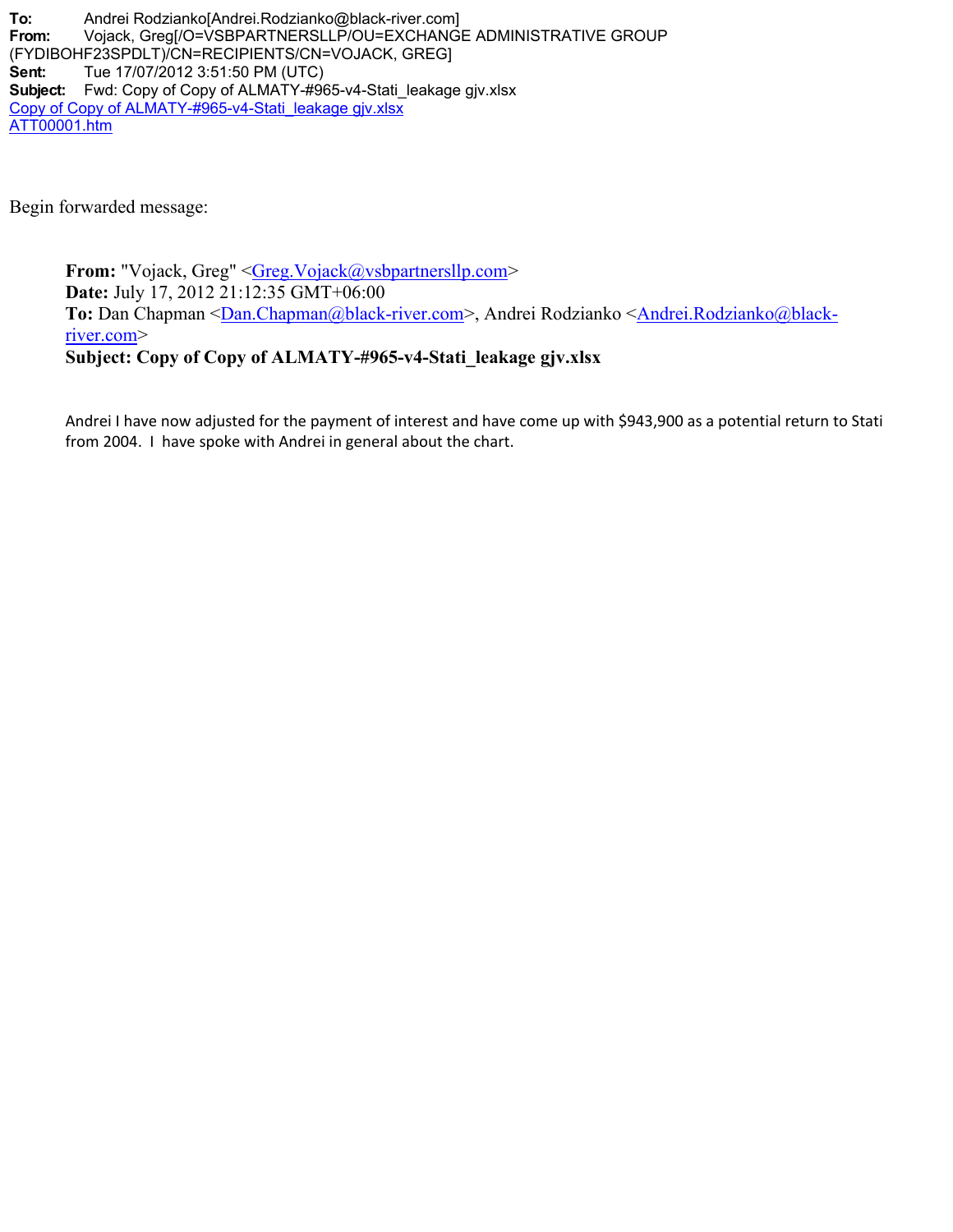**To:** Andrei Rodzianko[Andrei.Rodzianko@black-river.com] **From:** Vojack, Greg[/O=VSBPARTNERSLLP/OU=EXCHANGE ADMINISTRATIVE GROUP (FYDIBOHF23SPDLT)/CN=RECIPIENTS/CN=VOJACK, GREG] **Sent:** Tue 17/07/2012 3:51:50 PM (UTC) **Subject:** Fwd: Copy of Copy of ALMATY-#965-v4-Stati\_leakage gjv.xlsx Copy of Copy of ALMATY-#965-v4-Stati\_leakage gjv.xlsx ATT00001.htm

Begin forwarded message:

**From:** "Vojack, Greg" [<Greg.Vojack@vsbpartnersllp.com](mailto:Greg.Vojack@vsbpartnersllp.com)> **Date:** July 17, 2012 21:12:35 GMT+06:00 To: Dan Chapman [<Dan.Chapman@black-river.com](mailto:Dan.Chapman@black-river.com)>, Andrei Rodzianko [<Andrei.Rodzianko@black](mailto:Andrei.Rodzianko@black-river.com)[river.com](mailto:Andrei.Rodzianko@black-river.com)> **Subject: Copy of Copy of ALMATY-#965-v4-Stati\_leakage gjv.xlsx**

Andrei I have now adjusted for the payment of interest and have come up with \$943,900 as a potential return to Stati from 2004. I have spoke with Andrei in general about the chart.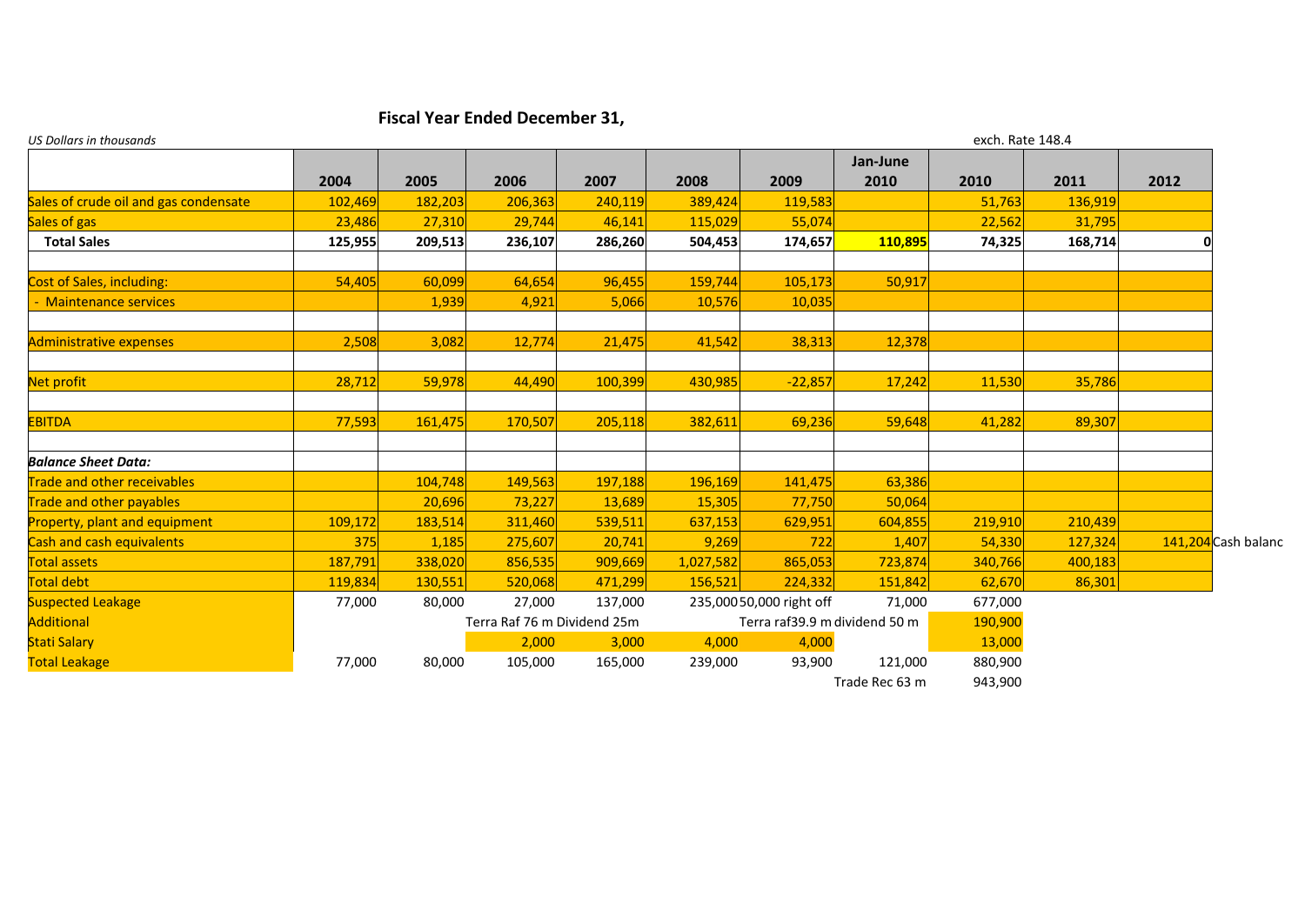## **Fiscal Year Ended December 31,**

| <b>US Dollars in thousands</b>        |         |         |                             |         |                               | exch. Rate 148.4        |                  |         |         |      |                     |
|---------------------------------------|---------|---------|-----------------------------|---------|-------------------------------|-------------------------|------------------|---------|---------|------|---------------------|
|                                       | 2004    | 2005    | 2006                        | 2007    | 2008                          | 2009                    | Jan-June<br>2010 | 2010    | 2011    | 2012 |                     |
| Sales of crude oil and gas condensate | 102,469 | 182,203 | 206,363                     | 240,119 | 389,424                       | 119,583                 |                  | 51,763  | 136,919 |      |                     |
| Sales of gas                          | 23,486  | 27,310  | 29,744                      | 46,141  | 115,029                       | 55,074                  |                  | 22,562  | 31,795  |      |                     |
| <b>Total Sales</b>                    | 125,955 | 209,513 | 236,107                     | 286,260 | 504,453                       | 174,657                 | 110,895          | 74,325  | 168,714 | O    |                     |
|                                       |         |         |                             |         |                               |                         |                  |         |         |      |                     |
| Cost of Sales, including:             | 54,405  | 60,099  | 64,654                      | 96,455  | 159,744                       | 105,173                 | 50,917           |         |         |      |                     |
| - Maintenance services                |         | 1,939   | 4,921                       | 5,066   | 10,576                        | 10,035                  |                  |         |         |      |                     |
| <b>Administrative expenses</b>        | 2,508   | 3,082   | 12,774                      | 21,475  | 41,542                        | 38,313                  | 12,378           |         |         |      |                     |
| Net profit                            | 28,712  | 59,978  | 44,490                      | 100,399 | 430,985                       | $-22,857$               | 17,242           | 11,530  | 35,786  |      |                     |
| <b>EBITDA</b>                         | 77,593  | 161,475 | 170,507                     | 205,118 | 382,611                       | 69,236                  | 59,648           | 41,282  | 89,307  |      |                     |
| <b>Balance Sheet Data:</b>            |         |         |                             |         |                               |                         |                  |         |         |      |                     |
| <b>Trade and other receivables</b>    |         | 104,748 | 149,563                     | 197,188 | 196,169                       | 141,475                 | 63,386           |         |         |      |                     |
| <b>Trade and other payables</b>       |         | 20,696  | 73,227                      | 13,689  | 15,305                        | 77,750                  | 50,064           |         |         |      |                     |
| <b>Property, plant and equipment</b>  | 109,172 | 183,514 | 311,460                     | 539,511 | 637,153                       | 629,951                 | 604,855          | 219,910 | 210,439 |      |                     |
| <b>Cash and cash equivalents</b>      | 375     | 1,185   | 275,607                     | 20,741  | 9,269                         | 722                     | 1,407            | 54,330  | 127,324 |      | 141,204 Cash balanc |
| <b>Total assets</b>                   | 187,791 | 338,020 | 856,535                     | 909,669 | 1,027,582                     | 865,053                 | 723,874          | 340,766 | 400,183 |      |                     |
| Total debt                            | 119,834 | 130,551 | 520,068                     | 471,299 | 156,521                       | 224,332                 | 151,842          | 62.670  | 86,301  |      |                     |
| <b>Suspected Leakage</b>              | 77,000  | 80,000  | 27,000                      | 137,000 |                               | 235,00050,000 right off | 71,000           | 677,000 |         |      |                     |
| <b>Additional</b>                     |         |         | Terra Raf 76 m Dividend 25m |         | Terra raf39.9 m dividend 50 m |                         | 190,900          |         |         |      |                     |
| <b>Stati Salary</b>                   |         |         | 2,000                       | 3,000   | 4,000                         | 4,000                   |                  | 13,000  |         |      |                     |
| <b>Total Leakage</b>                  | 77,000  | 80,000  | 105,000                     | 165,000 | 239,000                       | 93,900                  | 121,000          | 880,900 |         |      |                     |
|                                       |         |         |                             |         |                               |                         | Trade Rec 63 m   | 943,900 |         |      |                     |